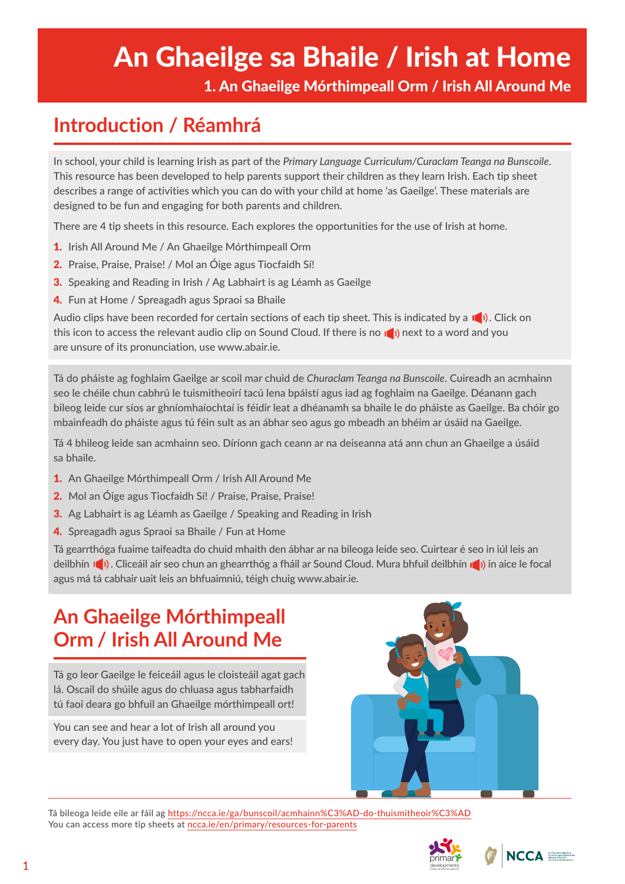# An Ghaeilge sa Bhaile / Irish at Home

1. An Ghaeilge Mórthimpeall Orm / Irish All Around Me

# **Introduction / Réamhrá**

In school, your child is learning Irish as part of the *Primary Language Curriculum/Curaclam Teanga na Bunscoile*. This resource has been developed to help parents support their children as they learn Irish. Each tip sheet describes a range of activities which you can do with your child at home 'as Gaeilge'. These materials are designed to be fun and engaging for both parents and children.

There are 4 tip sheets in this resource. Each explores the opportunities for the use of Irish at home.

- 1. Irish All Around Me / An Ghaeilge Mórthimpeall Orm
- 2. Praise, Praise, Praise! / Mol an Óige agus Tiocfaidh Sí!
- **3.** Speaking and Reading in Irish / Ag Labhairt is ag Léamh as Gaeilge
- 4. Fun at Home / Spreagadh agus Spraoi sa Bhaile

Audio clips have been recorded for certain sections of each tip sheet. This is indicated by a  $\Box$ ). Click on this icon to access the relevant audio clip on Sound Cloud. If there is no  $\mathbb{I}$ ) next to a word and you are unsure of its pronunciation, use www.abair.ie.

Tá do pháiste ag foghlaim Gaeilge ar scoil mar chuid de *Churaclam Teanga na Bunscoile*. Cuireadh an acmhainn seo le chéile chun cabhrú le tuismitheoirí tacú lena bpáistí agus iad ag foghlaim na Gaeilge. Déanann gach bileog leide cur síos ar ghníomhaíochtaí is féidir leat a dhéanamh sa bhaile le do pháiste as Gaeilge. Ba chóir go mbainfeadh do pháiste agus tú féin sult as an ábhar seo agus go mbeadh an bhéim ar úsáid na Gaeilge.

Tá 4 bhileog leide san acmhainn seo. Díríonn gach ceann ar na deiseanna atá ann chun an Ghaeilge a úsáid sa bhaile.

- 1. An Ghaeilge Mórthimpeall Orm / Irish All Around Me
- 2. Mol an Óige agus Tiocfaidh Sí! / Praise, Praise, Praise!
- 3. Ag Labhairt is ag Léamh as Gaeilge / Speaking and Reading in Irish
- 4. Spreagadh agus Spraoi sa Bhaile / Fun at Home

Tá gearrthóga fuaime taifeadta do chuid mhaith den ábhar ar na bileoga leide seo. Cuirtear é seo in iúl leis an deilbhín  $\Box$ ). Cliceáil air seo chun an ghearrthóg a fháil ar Sound Cloud. Mura bhfuil deilbhín  $\Box$ ) in aice le focal agus má tá cabhair uait leis an bhfuaimniú, téigh chuig www.abair.ie.

# **An Ghaeilge Mórthimpeall Orm / Irish All Around Me**

Tá go leor Gaeilge le feiceáil agus le cloisteáil agat gach lá. Oscail do shúile agus do chluasa agus tabharfaidh tú faoi deara go bhfuil an Ghaeilge mórthimpeall ort!

You can see and hear a lot of Irish all around you every day. You just have to open your eyes and ears!



Tá bileoga leide eile ar fáil ag <https://ncca.ie/ga/bunscoil/acmhainn%C3%AD-do-thuismitheoir%C3%AD> You can access more tip sheets at ncca.ie/en/primary/resources-for-parents



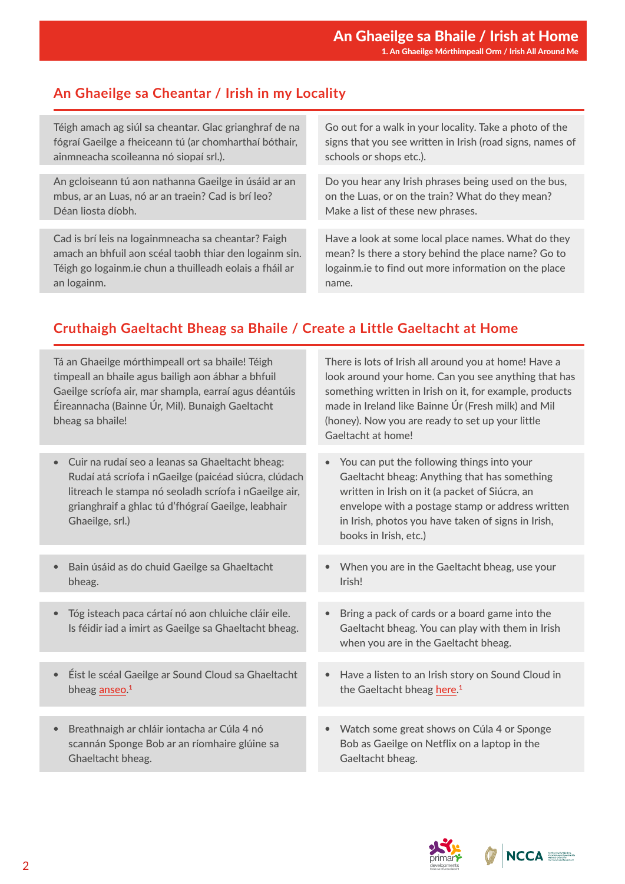## **An Ghaeilge sa Cheantar / Irish in my Locality**

| Téigh amach ag siúl sa cheantar. Glac grianghraf de na  | Go out for a walk in your locality. Take a photo of the   |
|---------------------------------------------------------|-----------------------------------------------------------|
| fógraí Gaeilge a fheiceann tú (ar chomharthaí bóthair,  | signs that you see written in Irish (road signs, names of |
| ainmneacha scoileanna nó siopaí srl.).                  | schools or shops etc.).                                   |
|                                                         |                                                           |
| An gcloiseann tú aon nathanna Gaeilge in úsáid ar an    | Do you hear any Irish phrases being used on the bus,      |
| mbus, ar an Luas, nó ar an traein? Cad is brí leo?      | on the Luas, or on the train? What do they mean?          |
| Déan liosta díobh.                                      | Make a list of these new phrases.                         |
|                                                         |                                                           |
| Cad is brí leis na logainmneacha sa cheantar? Faigh     | Have a look at some local place names. What do they       |
| amach an bhfuil aon scéal taobh thiar den logainm sin.  | mean? Is there a story behind the place name? Go to       |
| Téigh go logainm.ie chun a thuilleadh eolais a fháil ar | logainm.ie to find out more information on the place      |
| an logainm.                                             | name.                                                     |

### **Cruthaigh Gaeltacht Bheag sa Bhaile / Create a Little Gaeltacht at Home**

| Tá an Ghaeilge mórthimpeall ort sa bhaile! Téigh<br>timpeall an bhaile agus bailigh aon ábhar a bhfuil<br>Gaeilge scríofa air, mar shampla, earraí agus déantúis<br>Éireannacha (Bainne Úr, Mil). Bunaigh Gaeltacht<br>bheag sa bhaile!    | There is lots of Irish all around you at home! Have a<br>look around your home. Can you see anything that has<br>something written in Irish on it, for example, products<br>made in Ireland like Bainne Úr (Fresh milk) and Mil<br>(honey). Now you are ready to set up your little<br>Gaeltacht at home! |
|--------------------------------------------------------------------------------------------------------------------------------------------------------------------------------------------------------------------------------------------|-----------------------------------------------------------------------------------------------------------------------------------------------------------------------------------------------------------------------------------------------------------------------------------------------------------|
|                                                                                                                                                                                                                                            |                                                                                                                                                                                                                                                                                                           |
| Cuir na rudaí seo a leanas sa Ghaeltacht bheag:<br>Rudaí atá scríofa i nGaeilge (paicéad siúcra, clúdach<br>litreach le stampa nó seoladh scríofa i nGaeilge air,<br>grianghraif a ghlac tú d'fhógraí Gaeilge, leabhair<br>Ghaeilge, srl.) | You can put the following things into your<br>$\bullet$<br>Gaeltacht bheag: Anything that has something<br>written in Irish on it (a packet of Siúcra, an<br>envelope with a postage stamp or address written<br>in Irish, photos you have taken of signs in Irish,<br>books in Irish, etc.)              |
|                                                                                                                                                                                                                                            |                                                                                                                                                                                                                                                                                                           |
| Bain úsáid as do chuid Gaeilge sa Ghaeltacht<br>bheag.                                                                                                                                                                                     | When you are in the Gaeltacht bheag, use your<br>$\bullet$<br>Irish!                                                                                                                                                                                                                                      |
|                                                                                                                                                                                                                                            |                                                                                                                                                                                                                                                                                                           |
| Tóg isteach paca cártaí nó aon chluiche cláir eile.<br>$\bullet$<br>Is féidir iad a imirt as Gaeilge sa Ghaeltacht bheag.                                                                                                                  | Bring a pack of cards or a board game into the<br>$\bullet$<br>Gaeltacht bheag. You can play with them in Irish<br>when you are in the Gaeltacht bheag.                                                                                                                                                   |
|                                                                                                                                                                                                                                            |                                                                                                                                                                                                                                                                                                           |
| Éist le scéal Gaeilge ar Sound Cloud sa Ghaeltacht<br>bheag anseo. <sup>1</sup>                                                                                                                                                            | Have a listen to an Irish story on Sound Cloud in<br>$\bullet$<br>the Gaeltacht bheag here. <sup>1</sup>                                                                                                                                                                                                  |
|                                                                                                                                                                                                                                            |                                                                                                                                                                                                                                                                                                           |
| Breathnaigh ar chláir iontacha ar Cúla 4 nó<br>scannán Sponge Bob ar an ríomhaire glúine sa<br>Ghaeltacht bheag.                                                                                                                           | Watch some great shows on Cúla 4 or Sponge<br>$\bullet$<br>Bob as Gaeilge on Netflix on a laptop in the<br>Gaeltacht bheag.                                                                                                                                                                               |
|                                                                                                                                                                                                                                            |                                                                                                                                                                                                                                                                                                           |



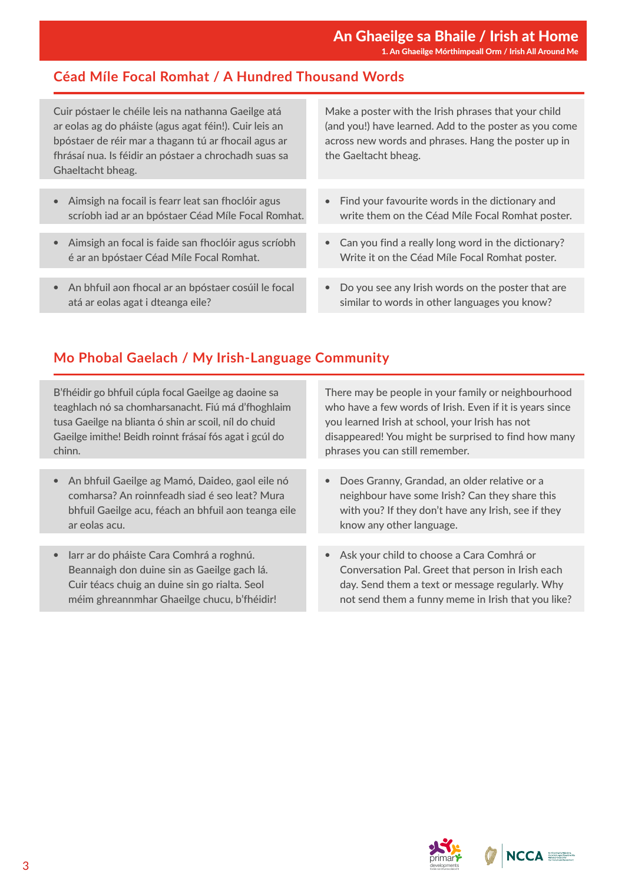#### **Céad Míle Focal Romhat / A Hundred Thousand Words**

Cuir póstaer le chéile leis na nathanna Gaeilge atá ar eolas ag do pháiste (agus agat féin!). Cuir leis an bpóstaer de réir mar a thagann tú ar fhocail agus ar fhrásaí nua. Is féidir an póstaer a chrochadh suas sa Ghaeltacht bheag.

- Aimsigh na focail is fearr leat san fhoclóir agus scríobh iad ar an bpóstaer Céad Míle Focal Romhat.
- Aimsigh an focal is faide san fhoclóir agus scríobh é ar an bpóstaer Céad Míle Focal Romhat.
- An bhfuil aon fhocal ar an bpóstaer cosúil le focal atá ar eolas agat i dteanga eile?

Make a poster with the Irish phrases that your child (and you!) have learned. Add to the poster as you come across new words and phrases. Hang the poster up in the Gaeltacht bheag.

- Find your favourite words in the dictionary and write them on the Céad Míle Focal Romhat poster.
- Can you find a really long word in the dictionary? Write it on the Céad Míle Focal Romhat poster.
- Do you see any Irish words on the poster that are similar to words in other languages you know?

#### **Mo Phobal Gaelach / My Irish-Language Community**

B'fhéidir go bhfuil cúpla focal Gaeilge ag daoine sa teaghlach nó sa chomharsanacht. Fiú má d'fhoghlaim tusa Gaeilge na blianta ó shin ar scoil, níl do chuid Gaeilge imithe! Beidh roinnt frásaí fós agat i gcúl do chinn.

- An bhfuil Gaeilge ag Mamó, Daideo, gaol eile nó comharsa? An roinnfeadh siad é seo leat? Mura bhfuil Gaeilge acu, féach an bhfuil aon teanga eile ar eolas acu.
- Iarr ar do pháiste Cara Comhrá a roghnú. Beannaigh don duine sin as Gaeilge gach lá. Cuir téacs chuig an duine sin go rialta. Seol méim ghreannmhar Ghaeilge chucu, b'fhéidir!

There may be people in your family or neighbourhood who have a few words of Irish. Even if it is years since you learned Irish at school, your Irish has not disappeared! You might be surprised to find how many phrases you can still remember.

- Does Granny, Grandad, an older relative or a neighbour have some Irish? Can they share this with you? If they don't have any Irish, see if they know any other language.
- Ask your child to choose a Cara Comhrá or Conversation Pal. Greet that person in Irish each day. Send them a text or message regularly. Why not send them a funny meme in Irish that you like?